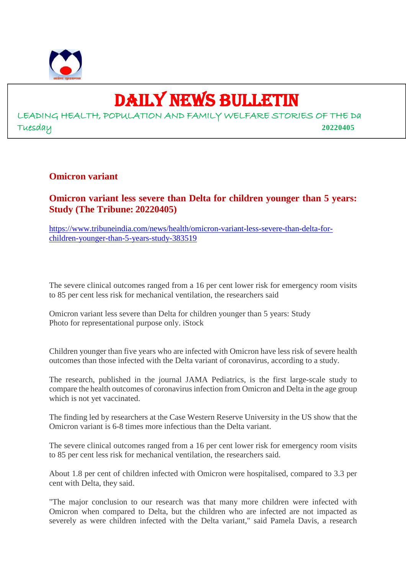

# DAILY NEWS BULLETIN

LEADING HEALTH, POPULATION AND FAMILY WELFARE STORIES OF THE Da Tuesday **20220405**

#### **Omicron variant**

## **Omicron variant less severe than Delta for children younger than 5 years: Study (The Tribune: 20220405)**

https://www.tribuneindia.com/news/health/omicron-variant-less-severe-than-delta-forchildren-younger-than-5-years-study-383519

The severe clinical outcomes ranged from a 16 per cent lower risk for emergency room visits to 85 per cent less risk for mechanical ventilation, the researchers said

Omicron variant less severe than Delta for children younger than 5 years: Study Photo for representational purpose only. iStock

Children younger than five years who are infected with Omicron have less risk of severe health outcomes than those infected with the Delta variant of coronavirus, according to a study.

The research, published in the journal JAMA Pediatrics, is the first large-scale study to compare the health outcomes of coronavirus infection from Omicron and Delta in the age group which is not yet vaccinated.

The finding led by researchers at the Case Western Reserve University in the US show that the Omicron variant is 6-8 times more infectious than the Delta variant.

The severe clinical outcomes ranged from a 16 per cent lower risk for emergency room visits to 85 per cent less risk for mechanical ventilation, the researchers said.

About 1.8 per cent of children infected with Omicron were hospitalised, compared to 3.3 per cent with Delta, they said.

"The major conclusion to our research was that many more children were infected with Omicron when compared to Delta, but the children who are infected are not impacted as severely as were children infected with the Delta variant," said Pamela Davis, a research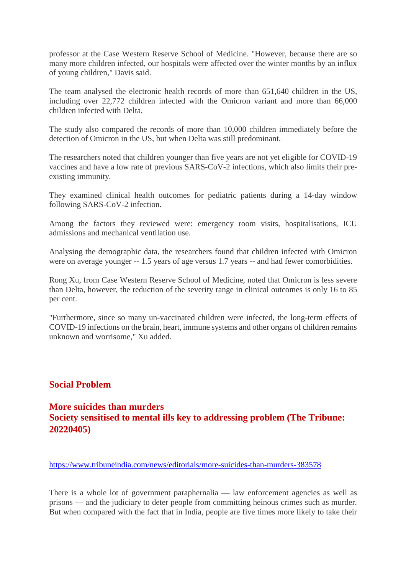professor at the Case Western Reserve School of Medicine. "However, because there are so many more children infected, our hospitals were affected over the winter months by an influx of young children," Davis said.

The team analysed the electronic health records of more than 651,640 children in the US, including over 22,772 children infected with the Omicron variant and more than 66,000 children infected with Delta.

The study also compared the records of more than 10,000 children immediately before the detection of Omicron in the US, but when Delta was still predominant.

The researchers noted that children younger than five years are not yet eligible for COVID-19 vaccines and have a low rate of previous SARS-CoV-2 infections, which also limits their preexisting immunity.

They examined clinical health outcomes for pediatric patients during a 14-day window following SARS-CoV-2 infection.

Among the factors they reviewed were: emergency room visits, hospitalisations, ICU admissions and mechanical ventilation use.

Analysing the demographic data, the researchers found that children infected with Omicron were on average younger -- 1.5 years of age versus 1.7 years -- and had fewer comorbidities.

Rong Xu, from Case Western Reserve School of Medicine, noted that Omicron is less severe than Delta, however, the reduction of the severity range in clinical outcomes is only 16 to 85 per cent.

"Furthermore, since so many un-vaccinated children were infected, the long-term effects of COVID-19 infections on the brain, heart, immune systems and other organs of children remains unknown and worrisome," Xu added.

# **Social Problem**

# **More suicides than murders Society sensitised to mental ills key to addressing problem (The Tribune: 20220405)**

https://www.tribuneindia.com/news/editorials/more-suicides-than-murders-383578

There is a whole lot of government paraphernalia — law enforcement agencies as well as prisons — and the judiciary to deter people from committing heinous crimes such as murder. But when compared with the fact that in India, people are five times more likely to take their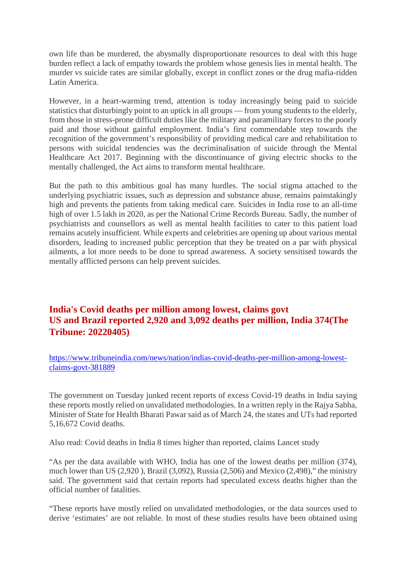own life than be murdered, the abysmally disproportionate resources to deal with this huge burden reflect a lack of empathy towards the problem whose genesis lies in mental health. The murder vs suicide rates are similar globally, except in conflict zones or the drug mafia-ridden Latin America.

However, in a heart-warming trend, attention is today increasingly being paid to suicide statistics that disturbingly point to an uptick in all groups — from young students to the elderly, from those in stress-prone difficult duties like the military and paramilitary forces to the poorly paid and those without gainful employment. India's first commendable step towards the recognition of the government's responsibility of providing medical care and rehabilitation to persons with suicidal tendencies was the decriminalisation of suicide through the Mental Healthcare Act 2017. Beginning with the discontinuance of giving electric shocks to the mentally challenged, the Act aims to transform mental healthcare.

But the path to this ambitious goal has many hurdles. The social stigma attached to the underlying psychiatric issues, such as depression and substance abuse, remains painstakingly high and prevents the patients from taking medical care. Suicides in India rose to an all-time high of over 1.5 lakh in 2020, as per the National Crime Records Bureau. Sadly, the number of psychiatrists and counsellors as well as mental health facilities to cater to this patient load remains acutely insufficient. While experts and celebrities are opening up about various mental disorders, leading to increased public perception that they be treated on a par with physical ailments, a lot more needs to be done to spread awareness. A society sensitised towards the mentally afflicted persons can help prevent suicides.

# **India's Covid deaths per million among lowest, claims govt US and Brazil reported 2,920 and 3,092 deaths per million, India 374(The Tribune: 20220405)**

https://www.tribuneindia.com/news/nation/indias-covid-deaths-per-million-among-lowestclaims-govt-381889

The government on Tuesday junked recent reports of excess Covid-19 deaths in India saying these reports mostly relied on unvalidated methodologies. In a written reply in the Rajya Sabha, Minister of State for Health Bharati Pawar said as of March 24, the states and UTs had reported 5,16,672 Covid deaths.

Also read: Covid deaths in India 8 times higher than reported, claims Lancet study

"As per the data available with WHO, India has one of the lowest deaths per million (374), much lower than US (2,920 ), Brazil (3,092), Russia (2,506) and Mexico (2,498)," the ministry said. The government said that certain reports had speculated excess deaths higher than the official number of fatalities.

"These reports have mostly relied on unvalidated methodologies, or the data sources used to derive 'estimates' are not reliable. In most of these studies results have been obtained using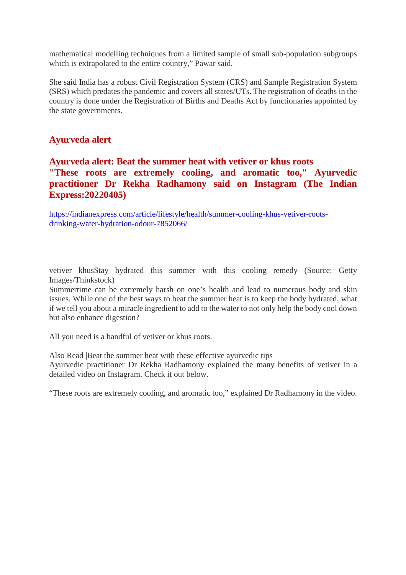mathematical modelling techniques from a limited sample of small sub-population subgroups which is extrapolated to the entire country," Pawar said.

She said India has a robust Civil Registration System (CRS) and Sample Registration System (SRS) which predates the pandemic and covers all states/UTs. The registration of deaths in the country is done under the Registration of Births and Deaths Act by functionaries appointed by the state governments.

# **Ayurveda alert**

# **Ayurveda alert: Beat the summer heat with vetiver or khus roots "These roots are extremely cooling, and aromatic too," Ayurvedic practitioner Dr Rekha Radhamony said on Instagram (The Indian Express:20220405)**

https://indianexpress.com/article/lifestyle/health/summer-cooling-khus-vetiver-rootsdrinking-water-hydration-odour-7852066/

vetiver khusStay hydrated this summer with this cooling remedy (Source: Getty Images/Thinkstock)

Summertime can be extremely harsh on one's health and lead to numerous body and skin issues. While one of the best ways to beat the summer heat is to keep the body hydrated, what if we tell you about a miracle ingredient to add to the water to not only help the body cool down but also enhance digestion?

All you need is a handful of vetiver or khus roots.

Also Read |Beat the summer heat with these effective ayurvedic tips

Ayurvedic practitioner Dr Rekha Radhamony explained the many benefits of vetiver in a detailed video on Instagram. Check it out below.

"These roots are extremely cooling, and aromatic too," explained Dr Radhamony in the video.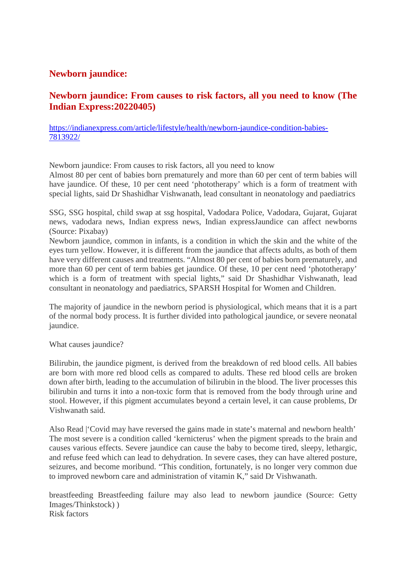# **Newborn jaundice:**

# **Newborn jaundice: From causes to risk factors, all you need to know (The Indian Express:20220405)**

https://indianexpress.com/article/lifestyle/health/newborn-jaundice-condition-babies-7813922/

Newborn jaundice: From causes to risk factors, all you need to know

Almost 80 per cent of babies born prematurely and more than 60 per cent of term babies will have jaundice. Of these, 10 per cent need 'phototherapy' which is a form of treatment with special lights, said Dr Shashidhar Vishwanath, lead consultant in neonatology and paediatrics

SSG, SSG hospital, child swap at ssg hospital, Vadodara Police, Vadodara, Gujarat, Gujarat news, vadodara news, Indian express news, Indian expressJaundice can affect newborns (Source: Pixabay)

Newborn jaundice, common in infants, is a condition in which the skin and the white of the eyes turn yellow. However, it is different from the jaundice that affects adults, as both of them have very different causes and treatments. "Almost 80 per cent of babies born prematurely, and more than 60 per cent of term babies get jaundice. Of these, 10 per cent need 'phototherapy' which is a form of treatment with special lights," said Dr Shashidhar Vishwanath, lead consultant in neonatology and paediatrics, SPARSH Hospital for Women and Children.

The majority of jaundice in the newborn period is physiological, which means that it is a part of the normal body process. It is further divided into pathological jaundice, or severe neonatal iaundice.

What causes jaundice?

Bilirubin, the jaundice pigment, is derived from the breakdown of red blood cells. All babies are born with more red blood cells as compared to adults. These red blood cells are broken down after birth, leading to the accumulation of bilirubin in the blood. The liver processes this bilirubin and turns it into a non-toxic form that is removed from the body through urine and stool. However, if this pigment accumulates beyond a certain level, it can cause problems, Dr Vishwanath said.

Also Read |'Covid may have reversed the gains made in state's maternal and newborn health' The most severe is a condition called 'kernicterus' when the pigment spreads to the brain and causes various effects. Severe jaundice can cause the baby to become tired, sleepy, lethargic, and refuse feed which can lead to dehydration. In severe cases, they can have altered posture, seizures, and become moribund. "This condition, fortunately, is no longer very common due to improved newborn care and administration of vitamin K," said Dr Vishwanath.

breastfeeding Breastfeeding failure may also lead to newborn jaundice (Source: Getty Images/Thinkstock) ) Risk factors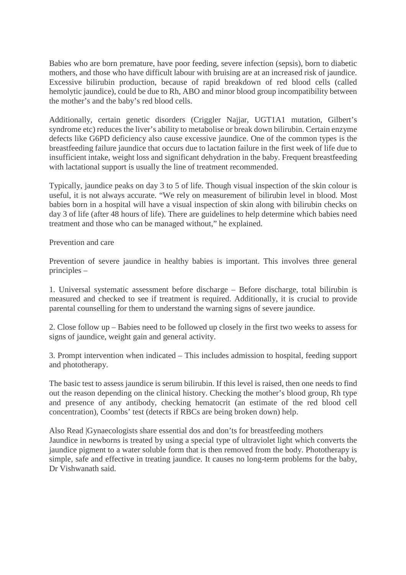Babies who are born premature, have poor feeding, severe infection (sepsis), born to diabetic mothers, and those who have difficult labour with bruising are at an increased risk of jaundice. Excessive bilirubin production, because of rapid breakdown of red blood cells (called hemolytic jaundice), could be due to Rh, ABO and minor blood group incompatibility between the mother's and the baby's red blood cells.

Additionally, certain genetic disorders (Criggler Najjar, UGT1A1 mutation, Gilbert's syndrome etc) reduces the liver's ability to metabolise or break down bilirubin. Certain enzyme defects like G6PD deficiency also cause excessive jaundice. One of the common types is the breastfeeding failure jaundice that occurs due to lactation failure in the first week of life due to insufficient intake, weight loss and significant dehydration in the baby. Frequent breastfeeding with lactational support is usually the line of treatment recommended.

Typically, jaundice peaks on day 3 to 5 of life. Though visual inspection of the skin colour is useful, it is not always accurate. "We rely on measurement of bilirubin level in blood. Most babies born in a hospital will have a visual inspection of skin along with bilirubin checks on day 3 of life (after 48 hours of life). There are guidelines to help determine which babies need treatment and those who can be managed without," he explained.

Prevention and care

Prevention of severe jaundice in healthy babies is important. This involves three general principles –

1. Universal systematic assessment before discharge – Before discharge, total bilirubin is measured and checked to see if treatment is required. Additionally, it is crucial to provide parental counselling for them to understand the warning signs of severe jaundice.

2. Close follow up – Babies need to be followed up closely in the first two weeks to assess for signs of jaundice, weight gain and general activity.

3. Prompt intervention when indicated – This includes admission to hospital, feeding support and phototherapy.

The basic test to assess jaundice is serum bilirubin. If this level is raised, then one needs to find out the reason depending on the clinical history. Checking the mother's blood group, Rh type and presence of any antibody, checking hematocrit (an estimate of the red blood cell concentration), Coombs' test (detects if RBCs are being broken down) help.

Also Read |Gynaecologists share essential dos and don'ts for breastfeeding mothers Jaundice in newborns is treated by using a special type of ultraviolet light which converts the jaundice pigment to a water soluble form that is then removed from the body. Phototherapy is simple, safe and effective in treating jaundice. It causes no long-term problems for the baby, Dr Vishwanath said.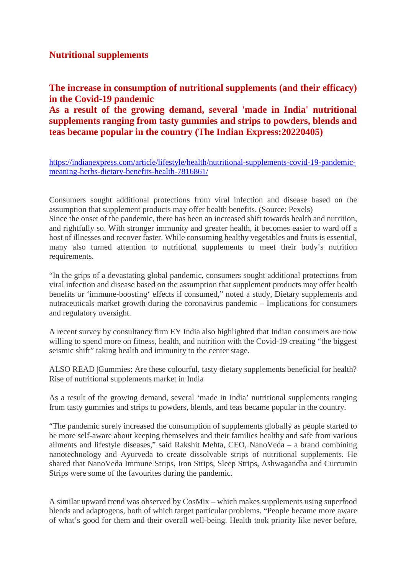## **Nutritional supplements**

**The increase in consumption of nutritional supplements (and their efficacy) in the Covid-19 pandemic**

**As a result of the growing demand, several 'made in India' nutritional supplements ranging from tasty gummies and strips to powders, blends and teas became popular in the country (The Indian Express:20220405)**

https://indianexpress.com/article/lifestyle/health/nutritional-supplements-covid-19-pandemicmeaning-herbs-dietary-benefits-health-7816861/

Consumers sought additional protections from viral infection and disease based on the assumption that supplement products may offer health benefits. (Source: Pexels) Since the onset of the pandemic, there has been an increased shift towards health and nutrition, and rightfully so. With stronger immunity and greater health, it becomes easier to ward off a host of illnesses and recover faster. While consuming healthy vegetables and fruits is essential, many also turned attention to nutritional supplements to meet their body's nutrition requirements.

"In the grips of a devastating global pandemic, consumers sought additional protections from viral infection and disease based on the assumption that supplement products may offer health benefits or 'immune-boosting' effects if consumed," noted a study, Dietary supplements and nutraceuticals market growth during the coronavirus pandemic – Implications for consumers and regulatory oversight.

A recent survey by consultancy firm EY India also highlighted that Indian consumers are now willing to spend more on fitness, health, and nutrition with the Covid-19 creating "the biggest" seismic shift" taking health and immunity to the center stage.

ALSO READ |Gummies: Are these colourful, tasty dietary supplements beneficial for health? Rise of nutritional supplements market in India

As a result of the growing demand, several 'made in India' nutritional supplements ranging from tasty gummies and strips to powders, blends, and teas became popular in the country.

"The pandemic surely increased the consumption of supplements globally as people started to be more self-aware about keeping themselves and their families healthy and safe from various ailments and lifestyle diseases," said Rakshit Mehta, CEO, NanoVeda – a brand combining nanotechnology and Ayurveda to create dissolvable strips of nutritional supplements. He shared that NanoVeda Immune Strips, Iron Strips, Sleep Strips, Ashwagandha and Curcumin Strips were some of the favourites during the pandemic.

A similar upward trend was observed by CosMix – which makes supplements using superfood blends and adaptogens, both of which target particular problems. "People became more aware of what's good for them and their overall well-being. Health took priority like never before,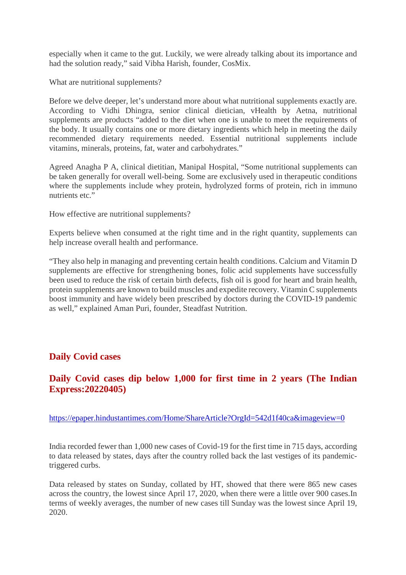especially when it came to the gut. Luckily, we were already talking about its importance and had the solution ready," said Vibha Harish, founder, CosMix.

What are nutritional supplements?

Before we delve deeper, let's understand more about what nutritional supplements exactly are. According to Vidhi Dhingra, senior clinical dietician, vHealth by Aetna, nutritional supplements are products "added to the diet when one is unable to meet the requirements of the body. It usually contains one or more dietary ingredients which help in meeting the daily recommended dietary requirements needed. Essential nutritional supplements include vitamins, minerals, proteins, fat, water and carbohydrates."

Agreed Anagha P A, clinical dietitian, Manipal Hospital, "Some nutritional supplements can be taken generally for overall well-being. Some are exclusively used in therapeutic conditions where the supplements include whey protein, hydrolyzed forms of protein, rich in immuno nutrients etc."

How effective are nutritional supplements?

Experts believe when consumed at the right time and in the right quantity, supplements can help increase overall health and performance.

"They also help in managing and preventing certain health conditions. Calcium and Vitamin D supplements are effective for strengthening bones, folic acid supplements have successfully been used to reduce the risk of certain birth defects, fish oil is good for heart and brain health, protein supplements are known to build muscles and expedite recovery. Vitamin C supplements boost immunity and have widely been prescribed by doctors during the COVID-19 pandemic as well," explained Aman Puri, founder, Steadfast Nutrition.

# **Daily Covid cases**

# **Daily Covid cases dip below 1,000 for first time in 2 years (The Indian Express:20220405)**

https://epaper.hindustantimes.com/Home/ShareArticle?OrgId=542d1f40ca&imageview=0

India recorded fewer than 1,000 new cases of Covid-19 for the first time in 715 days, according to data released by states, days after the country rolled back the last vestiges of its pandemictriggered curbs.

Data released by states on Sunday, collated by HT, showed that there were 865 new cases across the country, the lowest since April 17, 2020, when there were a little over 900 cases.In terms of weekly averages, the number of new cases till Sunday was the lowest since April 19, 2020.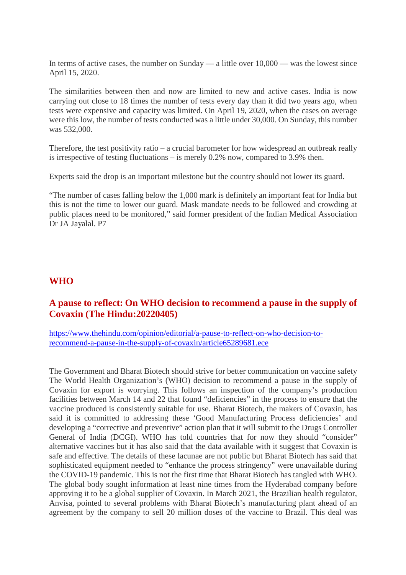In terms of active cases, the number on Sunday — a little over 10,000 — was the lowest since April 15, 2020.

The similarities between then and now are limited to new and active cases. India is now carrying out close to 18 times the number of tests every day than it did two years ago, when tests were expensive and capacity was limited. On April 19, 2020, when the cases on average were this low, the number of tests conducted was a little under 30,000. On Sunday, this number was 532,000.

Therefore, the test positivity ratio – a crucial barometer for how widespread an outbreak really is irrespective of testing fluctuations – is merely 0.2% now, compared to 3.9% then.

Experts said the drop is an important milestone but the country should not lower its guard.

"The number of cases falling below the 1,000 mark is definitely an important feat for India but this is not the time to lower our guard. Mask mandate needs to be followed and crowding at public places need to be monitored," said former president of the Indian Medical Association Dr JA Jayalal. P7

#### **WHO**

#### **A pause to reflect: On WHO decision to recommend a pause in the supply of Covaxin (The Hindu:20220405)**

https://www.thehindu.com/opinion/editorial/a-pause-to-reflect-on-who-decision-torecommend-a-pause-in-the-supply-of-covaxin/article65289681.ece

The Government and Bharat Biotech should strive for better communication on vaccine safety The World Health Organization's (WHO) decision to recommend a pause in the supply of Covaxin for export is worrying. This follows an inspection of the company's production facilities between March 14 and 22 that found "deficiencies" in the process to ensure that the vaccine produced is consistently suitable for use. Bharat Biotech, the makers of Covaxin, has said it is committed to addressing these 'Good Manufacturing Process deficiencies' and developing a "corrective and preventive" action plan that it will submit to the Drugs Controller General of India (DCGI). WHO has told countries that for now they should "consider" alternative vaccines but it has also said that the data available with it suggest that Covaxin is safe and effective. The details of these lacunae are not public but Bharat Biotech has said that sophisticated equipment needed to "enhance the process stringency" were unavailable during the COVID-19 pandemic. This is not the first time that Bharat Biotech has tangled with WHO. The global body sought information at least nine times from the Hyderabad company before approving it to be a global supplier of Covaxin. In March 2021, the Brazilian health regulator, Anvisa, pointed to several problems with Bharat Biotech's manufacturing plant ahead of an agreement by the company to sell 20 million doses of the vaccine to Brazil. This deal was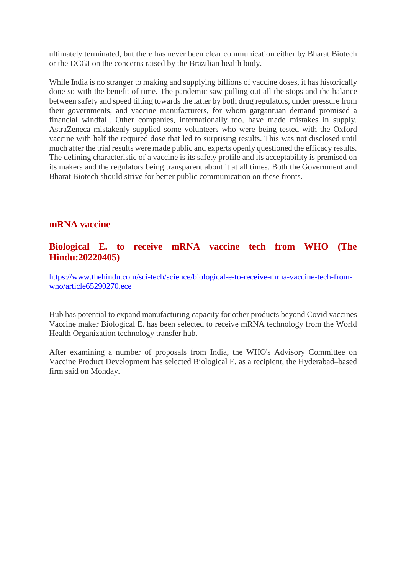ultimately terminated, but there has never been clear communication either by Bharat Biotech or the DCGI on the concerns raised by the Brazilian health body.

While India is no stranger to making and supplying billions of vaccine doses, it has historically done so with the benefit of time. The pandemic saw pulling out all the stops and the balance between safety and speed tilting towards the latter by both drug regulators, under pressure from their governments, and vaccine manufacturers, for whom gargantuan demand promised a financial windfall. Other companies, internationally too, have made mistakes in supply. AstraZeneca mistakenly supplied some volunteers who were being tested with the Oxford vaccine with half the required dose that led to surprising results. This was not disclosed until much after the trial results were made public and experts openly questioned the efficacy results. The defining characteristic of a vaccine is its safety profile and its acceptability is premised on its makers and the regulators being transparent about it at all times. Both the Government and Bharat Biotech should strive for better public communication on these fronts.

## **mRNA vaccine**

## **Biological E. to receive mRNA vaccine tech from WHO (The Hindu:20220405)**

https://www.thehindu.com/sci-tech/science/biological-e-to-receive-mrna-vaccine-tech-fromwho/article65290270.ece

Hub has potential to expand manufacturing capacity for other products beyond Covid vaccines Vaccine maker Biological E. has been selected to receive mRNA technology from the World Health Organization technology transfer hub.

After examining a number of proposals from India, the WHO's Advisory Committee on Vaccine Product Development has selected Biological E. as a recipient, the Hyderabad–based firm said on Monday.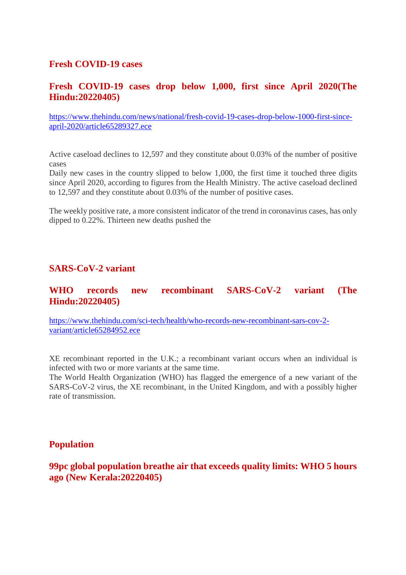#### **Fresh COVID-19 cases**

## **Fresh COVID-19 cases drop below 1,000, first since April 2020(The Hindu:20220405)**

https://www.thehindu.com/news/national/fresh-covid-19-cases-drop-below-1000-first-sinceapril-2020/article65289327.ece

Active caseload declines to 12,597 and they constitute about 0.03% of the number of positive cases

Daily new cases in the country slipped to below 1,000, the first time it touched three digits since April 2020, according to figures from the Health Ministry. The active caseload declined to 12,597 and they constitute about 0.03% of the number of positive cases.

The weekly positive rate, a more consistent indicator of the trend in coronavirus cases, has only dipped to 0.22%. Thirteen new deaths pushed the

# **SARS-CoV-2 variant**

## **WHO records new recombinant SARS-CoV-2 variant (The Hindu:20220405)**

https://www.thehindu.com/sci-tech/health/who-records-new-recombinant-sars-cov-2 variant/article65284952.ece

XE recombinant reported in the U.K.; a recombinant variant occurs when an individual is infected with two or more variants at the same time.

The World Health Organization (WHO) has flagged the emergence of a new variant of the SARS-CoV-2 virus, the XE recombinant, in the United Kingdom, and with a possibly higher rate of transmission.

#### **Population**

**99pc global population breathe air that exceeds quality limits: WHO 5 hours ago (New Kerala:20220405)**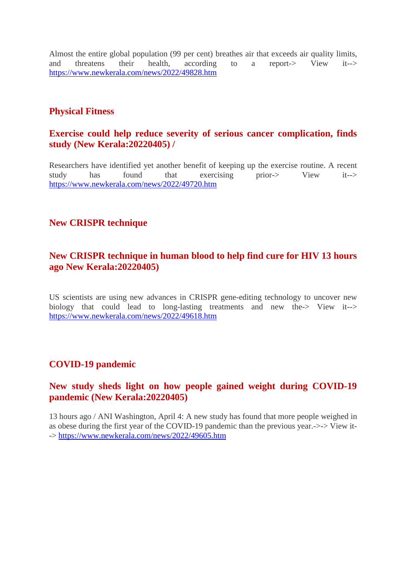Almost the entire global population (99 per cent) breathes air that exceeds air quality limits, and threatens their health, according to a report-> View it--> https://www.newkerala.com/news/2022/49828.htm

## **Physical Fitness**

## **Exercise could help reduce severity of serious cancer complication, finds study (New Kerala:20220405) /**

Researchers have identified yet another benefit of keeping up the exercise routine. A recent study has found that exercising prior-> View it--> https://www.newkerala.com/news/2022/49720.htm

# **New CRISPR technique**

## **New CRISPR technique in human blood to help find cure for HIV 13 hours ago New Kerala:20220405)**

US scientists are using new advances in CRISPR gene-editing technology to uncover new biology that could lead to long-lasting treatments and new the-> View it--> https://www.newkerala.com/news/2022/49618.htm

### **COVID-19 pandemic**

# **New study sheds light on how people gained weight during COVID-19 pandemic (New Kerala:20220405)**

13 hours ago / ANI Washington, April 4: A new study has found that more people weighed in as obese during the first year of the COVID-19 pandemic than the previous year.->-> View it- -> https://www.newkerala.com/news/2022/49605.htm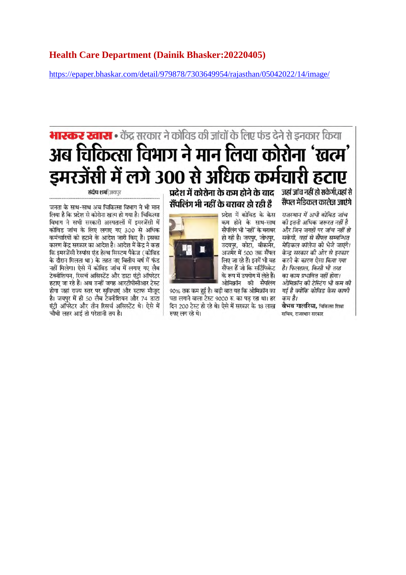#### **Health Care Department (Dainik Bhasker:20220405)**

https://epaper.bhaskar.com/detail/979878/7303649954/rajasthan/05042022/14/image/

# **भारकर खास :** केंद्र सरकार ने कोविड की जांचों के लिए फंड देने से इनकार किया अब चिकित्सा विभाग ने मान लिया कोरोना 'खत्म' इमरजेंसी में लगे 300 से अधिक कर्मचारी हटाए

प्रदेश में कोरोना के कम होने के बाद जहां जांच नहीं हो सकेगी,वहां से सैंपलिंग भी नहीं के बराबर हो रही है

पता लगाने वाला टेस्ट 9000 रु. का पड रहा था। हर

दिन 200 टेस्ट हो रहे थे। ऐसे में सरकार के 18 लाख

प्रदेश में कोविड के केस कम होने के साथ-साथ सैंपलिंग भी 'नहीं' के बराबर हो रही है। जयपुर, जोधपुर, उदयपूर, कोटा, बीकानेर, अजमेर में 500 तक सैंपल लिए जा रहे हैं। इनमें भी वह सैंपल हैं जो कि सर्टिफिकेट के रूप में उपयोग में लेते हैं। ओमिक्रॉन की सैंपलिंग 90% तक कम हुई है। बड़ी बात यह कि ओमिक्रॉन का

राजस्थान में अभी कोविड जांच की इतनी अधिक जरूरत नहीं है और जिन जगहों पर जांच नहीं हो सकेगी. वहां से सैंपल सम्बन्धित मेडिकल कॉलेज को भेजे जाएंगे। केन्द्र सरकार की ओर से इनकार करने के कारण ऐसा किया गया है। फिलहाल, किसी भी तरह का काम प्रभावित नहीं होगा। ओमिक्रॉन की टेस्टिंग भी कम की गई है क्योंकि कोविड केस काफी कम है।

सैंपल मेदिकल कालेज जाएंगे

वैभव गालरिया. चिकित्सा शिक्षा सचिव, राजस्थान सरकार

**संदीप शर्मा** जयपर

जनता के साथ-साथ अब चिकित्सा विभाग ने भी मान लिया है कि प्रदेश से कोरोना खत्म हो गया है। चिकित्सा विभाग ने सभी सरकारी अस्पतालों में इमरजेंसी में कोविड जांच के लिए लगाए गए 300 से अधिक कर्मचारियों को हटाने के आदेश जारी किए हैं। इसका कारण केंद्र सरकार का आदेश है। आदेश में केंद्र ने कहा कि इमरजेंसी रेस्पांस एंड हेल्थ सिस्टम पैकेज (कोविड के दौरान मिलता था) के तहत नए वित्तीय वर्ष में फंड नहीं मिलेगा। ऐसे में कोविड जांच में लगाए गए लैब टेक्नीशियन, रिसर्च असिस्टेंट और डाटा एंटी ऑपरेटर हटाए जा रहे हैं। अब उन्हीं जगह आरटीपीसीआर टेस्ट होगा जहां राज्य स्तर पर सुविधाएं और स्टाफ मौजूद है। जयपुर में ही 50 लैब टेक्नीशियन और 74 डाटा एंट्री ऑपरेटर और तीन रिसर्च असिस्टेंट थे। ऐसे में चौथी लहर आई तो परेशानी तय है।



रुपए लग रहे थे।